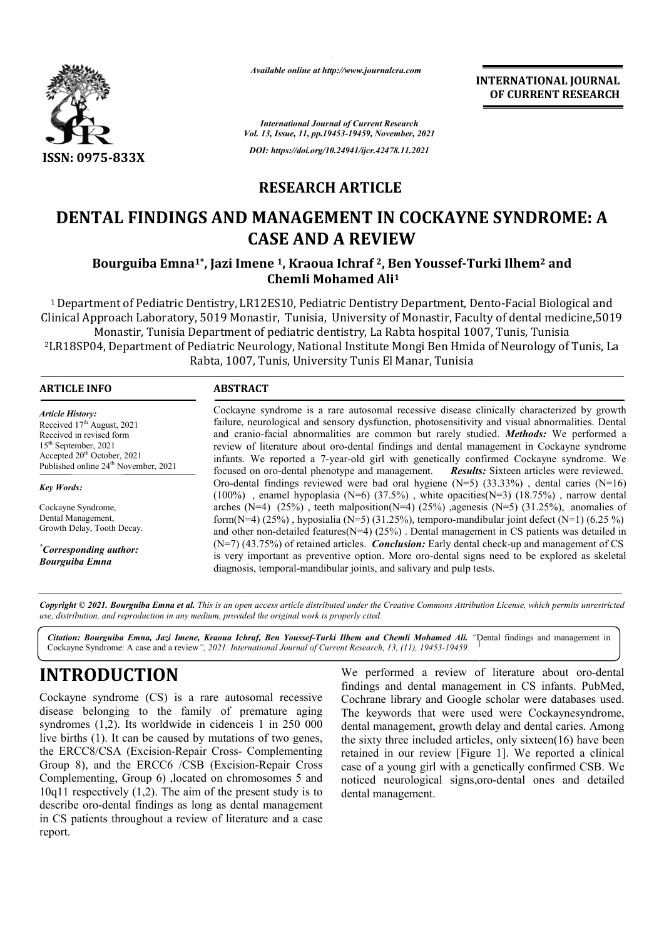

*Available online at http://www.journalcra.com*

*International Journal of Current Research Vol. 13, Issue, 11, pp.19453-19459, November, 2021*

*DOI: https://doi.org/10.24941/ijcr.42478.11.2021*

## **RESEARCH ARTICLE**

# **DENTAL FINDINGS AND MANAGEMENT IN COCKAYNE SYNDROME: A**<br>CASE AND A REVIEW<br>Bourguiba Emna<sup>1\*</sup>, Jazi Imene <sup>1</sup>, Kraoua Ichraf <sup>2</sup>, Ben Youssef-Turki Ilhem<sup>2</sup> and **CASE AND A REVIEW**

### **Bourguiba Emna1\*, Jazi Imene , 1, Kraoua Ichraf 2, Ben Youssef-Turki Ilhem Chemli Mohamed Ali1**

<sup>1</sup> Department of Pediatric Dentistry, LR12ES10, Pediatric Dentistry Department, Dento-Facial Biological and Clinical Approach Laboratory, 5019 Monastir, Tunisia, University of Monastir, Faculty of dental medicine,5019 Monastir, Tunisia Department of pediatric dentistry, La Rabta hospital 1007, Tunis, Tunisia Monastir, Tunisia Department of pediatric dentistry, La Rabta hospital 1007, Tunis, Tunisia<br>LR18SP04, Department of Pediatric Neurology, National Institute Mongi Ben Hmida of Neurology of Tunis, La Rabta, 1007, Tunis, University Tunis El Manar, Tunisia

| <b>ARTICLE INFO</b>                                                                                                                                                                                          | <b>ABSTRACT</b>                                                                                                                                                                                                                                                                                                                                                                                                                                                                                                                                                                     |  |  |  |  |  |  |
|--------------------------------------------------------------------------------------------------------------------------------------------------------------------------------------------------------------|-------------------------------------------------------------------------------------------------------------------------------------------------------------------------------------------------------------------------------------------------------------------------------------------------------------------------------------------------------------------------------------------------------------------------------------------------------------------------------------------------------------------------------------------------------------------------------------|--|--|--|--|--|--|
| <b>Article History:</b><br>Received $17th$ August, 2021<br>Received in revised form<br>$15th$ September, 2021<br>Accepted 20 <sup>th</sup> October, 2021<br>Published online 24 <sup>th</sup> November, 2021 | Cockayne syndrome is a rare autosomal recessive disease clinically characterized by growth<br>failure, neurological and sensory dysfunction, photosensitivity and visual abnormalities. Dental<br>and cranio-facial abnormalities are common but rarely studied. Methods: We performed a<br>review of literature about oro-dental findings and dental management in Cockayne syndrome<br>infants. We reported a 7-year-old girl with genetically confirmed Cockayne syndrome. We<br>focused on oro-dental phenotype and management. <b>Results:</b> Sixteen articles were reviewed. |  |  |  |  |  |  |
| <b>Key Words:</b>                                                                                                                                                                                            | Oro-dental findings reviewed were bad oral hygiene $(N=5)$ (33.33%), dental caries $(N=16)$<br>$(100\%)$ , enamel hypoplasia (N=6) $(37.5\%)$ , white opacities(N=3) $(18.75\%)$ , narrow dental                                                                                                                                                                                                                                                                                                                                                                                    |  |  |  |  |  |  |
| Cockayne Syndrome,<br>Dental Management,<br>Growth Delay, Tooth Decay.                                                                                                                                       | arches (N=4) $(25%)$ , teeth malposition(N=4) $(25%)$ , agenesis (N=5) $(31.25%)$ , anomalies of<br>form(N=4) (25%), hyposialia (N=5) (31.25%), temporo-mandibular joint defect (N=1) (6.25 %)<br>and other non-detailed features $(N=4)$ (25%). Dental management in CS patients was detailed in                                                                                                                                                                                                                                                                                   |  |  |  |  |  |  |
| "Corresponding author:<br><b>Bourguiba Emna</b>                                                                                                                                                              | $(N=7)$ (43.75%) of retained articles. <b>Conclusion:</b> Early dental check-up and management of CS<br>is very important as preventive option. More oro-dental signs need to be explored as skeletal<br>diagnosis, temporal-mandibular joints, and salivary and pulp tests.                                                                                                                                                                                                                                                                                                        |  |  |  |  |  |  |

Copyright © 2021. Bourguiba Emna et al. This is an open access article distributed under the Creative Commons Attribution License, which permits unrestricted *use, distribution, and reproduction in any medium, provided the original work is properly cited.*

Citation: Bourguiba Emna, Jazi Imene, Kraoua Ichraf, Ben Youssef-Turki Ilhem and Chemli Mohamed Ali. "Dental findings and management in<br>Cockayne Syndrome: A case and a review", 2021. International Journal of Current Resear Cockayne Syndrome: A case and a review*", 2021. International Journal of Current Research, 13, (11), 19453-19459.*

## **INTRODUCTION**

Cockayne syndrome (CS) is a rare autosomal recessive disease belonging to the family of premature aging syndromes (1,2). Its worldwide in cidenceis 1 in 250 000 live births (1). It can be caused by mutations of two genes, live births (1). It can be caused by mutations of two genes, the ERCC8/CSA (Excision-Repair Cross- Complementing Group 8), and the ERCC6 /CSB (Excision (Excision-Repair Cross Complementing, Group 6) ,located on chromosomes 5 and 10q11 respectively (1,2). The aim of the present study is to describe oro-dental findings as long as dental management in CS patients throughout a review of literature and a case report.

Suiba Emna, Jazi Imene, Kraoua Ichraf, Ben Youssef-Turki Ilhem and Chemli Mohamed Ali. "Dental findings and it<br>trome: A case and a review", 2021. International Journal of Current Research, 13, (11), 19453-19459.<br> **DUCTION** We performed a review of literature about oro-dental findings and dental management in CS infants. PubMed, Cochrane library and Google scholar were databases used. The keywords that were used were Cockaynesyndrome, findings and dental management in CS infants. PubMed, Cochrane library and Google scholar were databases used.<br>The keywords that were used were Cockaynesyndrome, dental management, growth delay and dental caries. Among the sixty three included articles, only sixteen(16) have been the sixty three included articles, only sixteen(16) have been retained in our review [Figure 1]. We reported a clinical case of a young girl with a genetically confirmed CSB. We noticed neurological signs, oro-dental ones and detailed dental management.

**INTERNATIONAL JOURNAL OF CURRENT RESEARCH**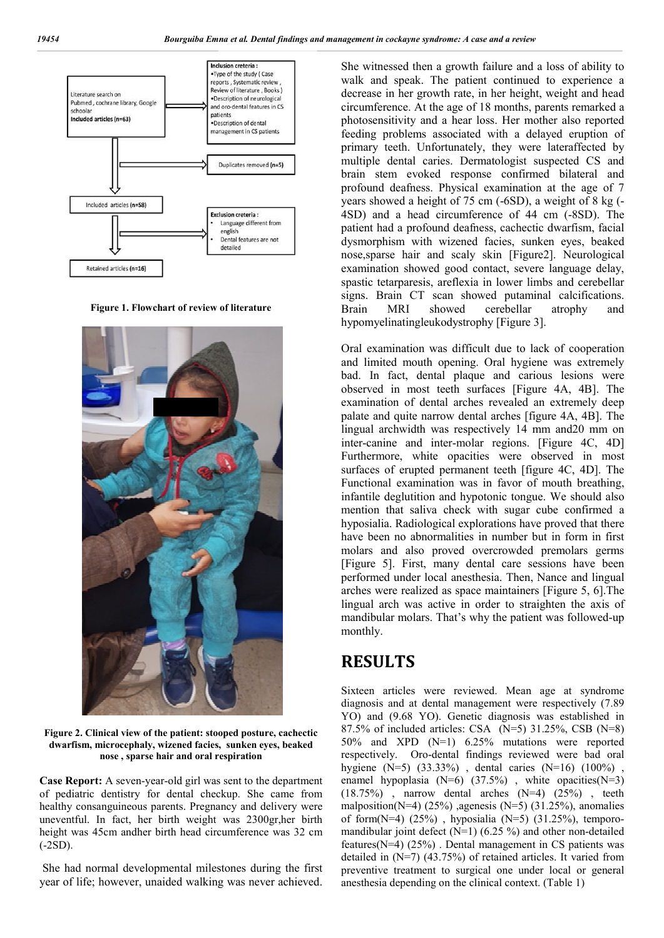

**Figure 1. Flowchart of review of literature**



**Figure 2. Clinical view of the patient: stooped posture, cachectic dwarfism, microcephaly, wizened facies, sunken eyes, beaked nose , sparse hair and oral respiration**

**Case Report:** A seven-year-old girl was sent to the department of pediatric dentistry for dental checkup. She came from healthy consanguineous parents. Pregnancy and delivery were uneventful. In fact, her birth weight was 2300gr,her birth height was 45cm andher birth head circumference was 32 cm (-2SD).

She had normal developmental milestones during the first year of life; however, unaided walking was never achieved.

She witnessed then a growth failure and a loss of ability to walk and speak. The patient continued to experience a decrease in her growth rate, in her height, weight and head circumference. At the age of 18 months, parents remarked a photosensitivity and a hear loss. Her mother also reported feeding problems associated with a delayed eruption of primary teeth. Unfortunately, they were lateraffected by multiple dental caries. Dermatologist suspected CS and brain stem evoked response confirmed bilateral and profound deafness. Physical examination at the age of 7 years showed a height of 75 cm (-6SD), a weight of 8 kg (- 4SD) and a head circumference of 44 cm (-8SD). The patient had a profound deafness, cachectic dwarfism, facial dysmorphism with wizened facies, sunken eyes, beaked nose,sparse hair and scaly skin [Figure2]. Neurological examination showed good contact, severe language delay, spastic tetarparesis, areflexia in lower limbs and cerebellar signs. Brain CT scan showed putaminal calcifications. Brain MRI showed cerebellar atrophy and hypomyelinatingleukodystrophy [Figure 3].

Oral examination was difficult due to lack of cooperation and limited mouth opening. Oral hygiene was extremely bad. In fact, dental plaque and carious lesions were observed in most teeth surfaces [Figure 4A, 4B]. The examination of dental arches revealed an extremely deep palate and quite narrow dental arches [figure 4A, 4B]. The lingual archwidth was respectively 14 mm and20 mm on inter-canine and inter-molar regions. [Figure 4C, 4D] Furthermore, white opacities were observed in most surfaces of erupted permanent teeth [figure 4C, 4D]. The Functional examination was in favor of mouth breathing, infantile deglutition and hypotonic tongue. We should also mention that saliva check with sugar cube confirmed a hyposialia. Radiological explorations have proved that there have been no abnormalities in number but in form in first molars and also proved overcrowded premolars germs [Figure 5]. First, many dental care sessions have been performed under local anesthesia. Then, Nance and lingual arches were realized as space maintainers [Figure 5, 6].The lingual arch was active in order to straighten the axis of mandibular molars. That's why the patient was followed-up monthly.

## **RESULTS**

Sixteen articles were reviewed. Mean age at syndrome diagnosis and at dental management were respectively (7.89 YO) and (9.68 YO). Genetic diagnosis was established in 87.5% of included articles: CSA (N=5) 31.25%, CSB (N=8) 50% and XPD (N=1) 6.25% mutations were reported respectively. Oro-dental findings reviewed were bad oral hygiene (N=5) (33.33%) , dental caries (N=16) (100%) , enamel hypoplasia (N=6) (37.5%) , white opacities(N=3)  $(18.75\%)$ , narrow dental arches  $(N=4)$   $(25\%)$ , teeth malposition(N=4) (25%) ,agenesis (N=5) (31.25%), anomalies of form $(N=4)$  (25%), hyposialia  $(N=5)$  (31.25%), temporomandibular joint defect (N=1) (6.25 %) and other non-detailed features( $N=4$ ) (25%). Dental management in CS patients was detailed in (N=7) (43.75%) of retained articles. It varied from preventive treatment to surgical one under local or general anesthesia depending on the clinical context. (Table 1)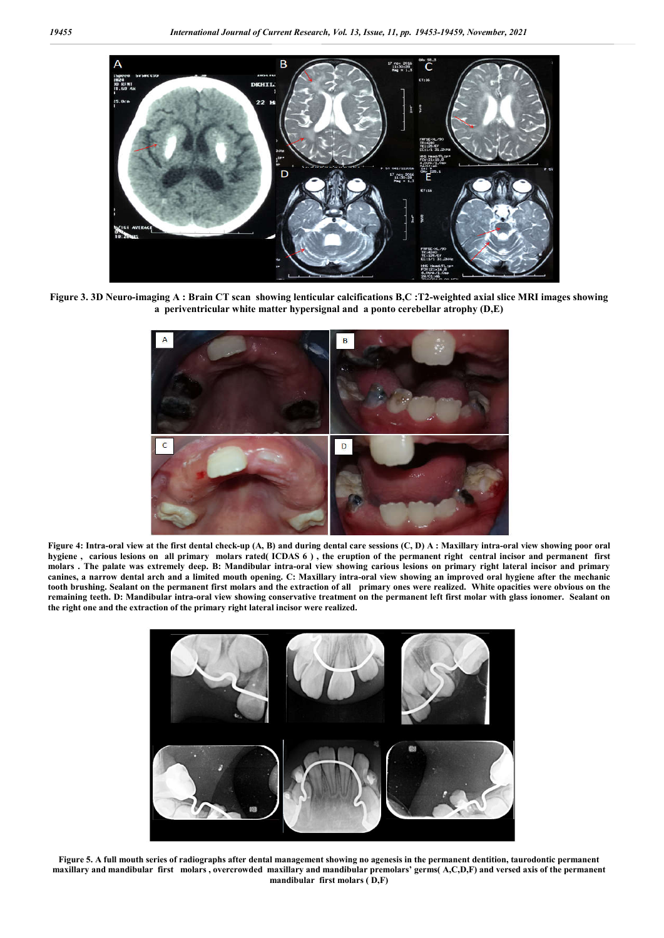

**Figure 3. 3D Neuro-imaging A : Brain CT scan showing lenticular calcifications B,C :T2-weighted axial slice MRI images showing a periventricular white matter hypersignal and a ponto cerebellar atrophy (D,E)**



**Figure 4: Intra-oral view at the first dental check-up (A, B) and during dental care sessions (C, D) A : Maxillary intra-oral view showing poor oral hygiene , carious lesions on all primary molars rated( ICDAS 6 ) , the eruption of the permanent right central incisor and permanent first molars . The palate was extremely deep. B: Mandibular intra-oral view showing carious lesions on primary right lateral incisor and primary canines, a narrow dental arch and a limited mouth opening. C: Maxillary intra-oral view showing an improved oral hygiene after the mechanic tooth brushing. Sealant on the permanent first molars and the extraction of all primary ones were realized. White opacities were obvious on the remaining teeth. D: Mandibular intra-oral view showing conservative treatment on the permanent left first molar with glass ionomer. Sealant on the right one and the extraction of the primary right lateral incisor were realized.**



**Figure 5. A full mouth series of radiographs after dental management showing no agenesis in the permanent dentition, taurodontic permanent maxillary and mandibular first molars , overcrowded maxillary and mandibular premolars' germs( A,C,D,F) and versed axis of the permanent mandibular first molars ( D,F)**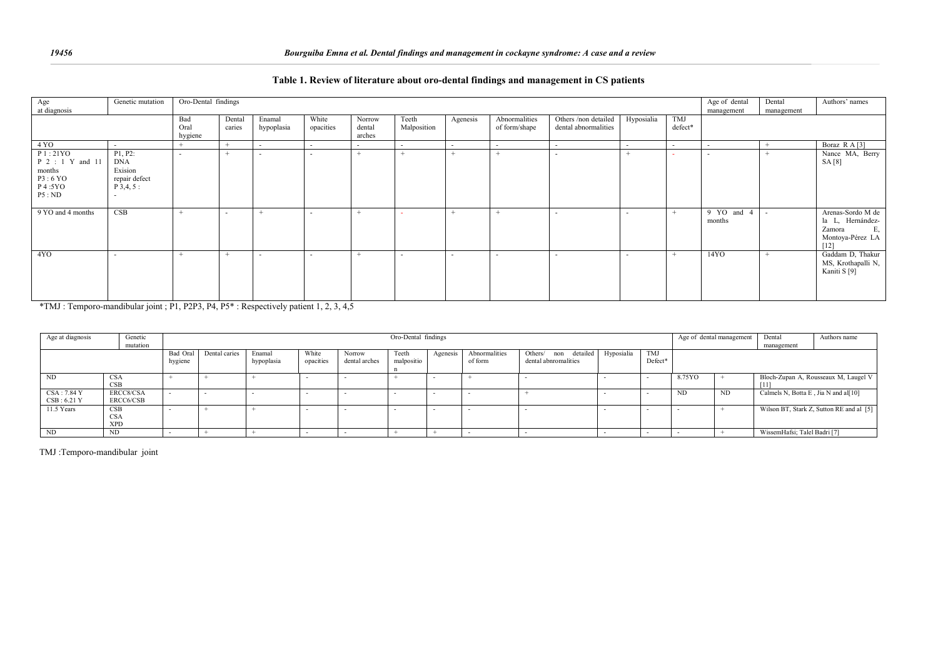| Oro-Dental findings<br>Genetic mutation<br>Age of dental<br>Age                                                               | Dental     | Authors' names          |
|-------------------------------------------------------------------------------------------------------------------------------|------------|-------------------------|
| at diagnosis<br>management                                                                                                    | management |                         |
| Others /non detailed<br>Hyposialia<br>TMJ<br>White<br>Agenesis<br>Abnormalities<br>Norrow<br>Teeth<br>Bad<br>Dental<br>Enamal |            |                         |
| opacities<br>Malposition<br>dental abnormalities<br>caries<br>defect*<br>of form/shape<br>hypoplasia<br>Oral<br>dental        |            |                         |
| hygiene                                                                                                                       |            |                         |
| arches                                                                                                                        |            |                         |
| 4 YO<br>$\sim$<br>$\sim$<br>$\sim$<br>$\sim$<br>$\sim$<br>$\sim$<br>. —<br>$\sim$<br>$\sim$                                   | $+$        | Boraz R A [3]           |
| P1:21YO<br>P1, P2:                                                                                                            | $\pm$      | Nance MA, Berry         |
| <b>DNA</b><br>P 2 : 1 Y and 11                                                                                                |            | SA [8]                  |
| Exision<br>months                                                                                                             |            |                         |
| repair defect<br>P3:6 YO                                                                                                      |            |                         |
| P 4:5YO<br>$P$ 3,4, 5 :                                                                                                       |            |                         |
|                                                                                                                               |            |                         |
| P5:ND                                                                                                                         |            |                         |
|                                                                                                                               |            |                         |
| 9 YO and 4 months<br>CSB<br>9 YO and<br>$\overline{4}$<br>$+$<br>$\overline{\phantom{a}}$                                     | $\sim$     | Arenas-Sordo M de       |
| months                                                                                                                        |            | la L, Hernández-        |
|                                                                                                                               |            | Zamora<br>E,            |
|                                                                                                                               |            | Montoya-Pérez LA        |
|                                                                                                                               |            |                         |
|                                                                                                                               |            |                         |
| 14YO<br>4YO<br>$\pm$<br>$\overline{\phantom{a}}$<br>. .                                                                       | $^{+}$     | Gaddam D, Thakur        |
|                                                                                                                               |            | MS, Krothapalli N,      |
|                                                                                                                               |            | Kaniti S <sup>[9]</sup> |
|                                                                                                                               |            |                         |
|                                                                                                                               |            |                         |
|                                                                                                                               |            |                         |

#### **Table 1. Review of literature about oro-dental findings and management in CS patients**

\*TMJ : Temporo-mandibular joint ; P1, P2P3, P4, P5\* : Respectively patient 1, 2, 3, 4,5

| Age at diagnosis | Genetic    |               | Oro-Dental findings |            |           |               |            |               |                      |                      |     |                          |        | Age of dental management |                                      | Authors name                             |
|------------------|------------|---------------|---------------------|------------|-----------|---------------|------------|---------------|----------------------|----------------------|-----|--------------------------|--------|--------------------------|--------------------------------------|------------------------------------------|
|                  | mutation   |               |                     |            |           |               |            |               |                      |                      |     |                          |        |                          |                                      |                                          |
|                  | Bad Oral   | Dental caries | Enamal              | White      | Norrow    | Teeth         | Agenesis   | Abnormalities | Others/ non detailed | Hyposialia           | TMJ |                          |        |                          |                                      |                                          |
|                  |            | hygiene       |                     | hypoplasia | opacities | dental arches | malpositio |               | of form              | dental abnromalities |     | Defect*                  |        |                          |                                      |                                          |
|                  |            |               |                     |            |           |               |            |               |                      |                      |     |                          |        |                          |                                      |                                          |
| ND               | <b>CSA</b> |               |                     |            |           |               |            |               |                      |                      |     |                          | 8.75YO |                          |                                      | Bloch-Zupan A, Rousseaux M, Laugel V     |
|                  | <b>CSB</b> |               |                     |            |           |               |            |               |                      |                      |     |                          |        |                          | [11]                                 |                                          |
| CSA : 7.84 Y     | ERCC8/CSA  |               |                     |            |           |               |            |               |                      |                      |     | $\overline{\phantom{0}}$ | ND     | ND.                      | Calmels N, Botta E, Jia N and al[10] |                                          |
| CSB: 6.21Y       | ERCC6/CSB  |               |                     |            |           |               |            |               |                      |                      |     |                          |        |                          |                                      |                                          |
| 11.5 Years       | CSB        |               |                     |            |           |               |            |               |                      |                      |     |                          |        |                          |                                      | Wilson BT, Stark Z, Sutton RE and al [5] |
|                  | <b>CSA</b> |               |                     |            |           |               |            |               |                      |                      |     |                          |        |                          |                                      |                                          |
|                  | <b>XPD</b> |               |                     |            |           |               |            |               |                      |                      |     |                          |        |                          |                                      |                                          |
| ND               | ND.        |               |                     |            |           |               |            |               |                      |                      |     |                          |        |                          | WissemHafsi; Talel Badri [7]         |                                          |

TMJ :Temporo-mandibular joint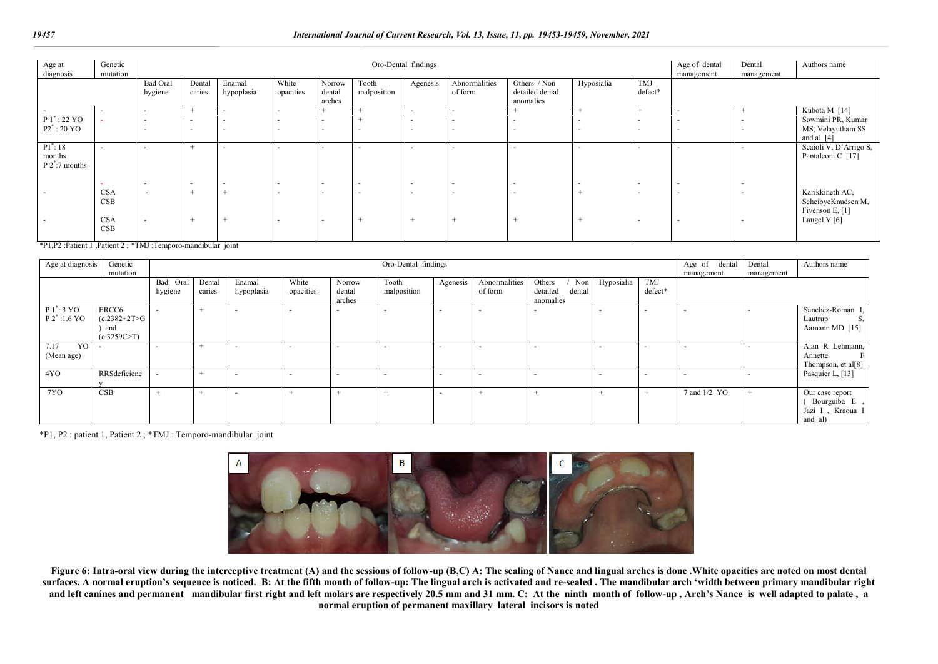#### *19457 International Journal of Current Research, Vol. 13, Issue, 11, pp. 19453-19459, November, 2021*

| Age at<br>diagnosis                        | Genetic<br>mutation      |                          |                          |                          | Age of dental<br>management | Dental<br>management       | Authors name             |                          |                          |                                              |                          |                          |                          |                          |                                                          |
|--------------------------------------------|--------------------------|--------------------------|--------------------------|--------------------------|-----------------------------|----------------------------|--------------------------|--------------------------|--------------------------|----------------------------------------------|--------------------------|--------------------------|--------------------------|--------------------------|----------------------------------------------------------|
|                                            |                          | Bad Oral<br>hygiene      | Dental<br>caries         | Enamal<br>hypoplasia     | White<br>opacities          | Norrow<br>dental<br>arches | Tooth<br>malposition     | Agenesis                 | Abnormalities<br>of form | Others / Non<br>detailed dental<br>anomalies | Hyposialia               | TMJ<br>defect*           |                          |                          |                                                          |
|                                            | $\sim$                   |                          | $+$                      | $\overline{\phantom{a}}$ | $\sim$                      |                            |                          | $\overline{\phantom{a}}$ | $\overline{\phantom{0}}$ | $\rightarrow$                                |                          | $+$                      |                          | <b>+</b>                 | Kubota M [14]                                            |
| $P1^*$ : 22 YO                             |                          | $\overline{\phantom{a}}$ | $\overline{\phantom{0}}$ | $\overline{\phantom{a}}$ | $\sim$                      | $\sim$                     | $+$                      | $\overline{\phantom{0}}$ | $\overline{\phantom{0}}$ | $\sim$                                       | $\overline{a}$           | $\sim$                   | $\overline{\phantom{0}}$ | $\overline{\phantom{a}}$ | Sowmini PR, Kumar                                        |
| $P2^*$ : 20 YO                             |                          | $\overline{\phantom{0}}$ | $\overline{\phantom{a}}$ | $\overline{\phantom{a}}$ | $\sim$                      | $\overline{\phantom{a}}$   | $\overline{\phantom{a}}$ |                          | $\overline{\phantom{0}}$ | $\overline{\phantom{a}}$                     | $\overline{\phantom{a}}$ | $\overline{\phantom{0}}$ | $\overline{\phantom{0}}$ | $\overline{\phantom{0}}$ | MS, Velayutham SS<br>and al $[4]$                        |
| $P1^*$ : 18<br>months<br>$P 2^*$ :7 months | $\overline{\phantom{a}}$ | $\overline{\phantom{0}}$ | $^{+}$                   | $\overline{\phantom{a}}$ | $\sim$                      | $\overline{\phantom{a}}$   | $\overline{\phantom{a}}$ | $\overline{\phantom{a}}$ | $\overline{\phantom{0}}$ | $\overline{\phantom{a}}$                     | $\overline{a}$           | $\overline{\phantom{0}}$ | $\overline{\phantom{0}}$ | $\overline{\phantom{0}}$ | Scaioli V, D'Arrigo S,<br>Pantaleoni C [17]              |
|                                            | -                        | $\overline{\phantom{0}}$ | $\overline{\phantom{a}}$ | $\overline{\phantom{a}}$ | $\sim$                      | $\sim$                     | $\overline{\phantom{a}}$ | $\overline{\phantom{a}}$ | $\overline{\phantom{0}}$ | $\overline{\phantom{a}}$                     | $\overline{\phantom{a}}$ | $\overline{\phantom{a}}$ | $\overline{\phantom{0}}$ | $\sim$                   |                                                          |
|                                            | <b>CSA</b><br>CSB        | $\sim$                   | $^{+}$                   |                          | $\sim$                      | $\overline{\phantom{a}}$   | $\overline{\phantom{a}}$ | $\overline{\phantom{a}}$ | $\overline{\phantom{0}}$ | $\sim$                                       | $\pm$                    | $\overline{\phantom{a}}$ | $\overline{\phantom{0}}$ | $\overline{\phantom{0}}$ | Karikkineth AC,<br>ScheibyeKnudsen M,<br>Fivenson E, [1] |
|                                            | <b>CSA</b><br>CSB        |                          | <b>+</b>                 |                          | $\overline{\phantom{a}}$    | $\overline{\phantom{a}}$   |                          |                          |                          |                                              |                          | $\overline{\phantom{0}}$ | $\overline{\phantom{0}}$ |                          | Laugel V $[6]$                                           |

\*P1,P2 :Patient 1 ,Patient 2 ; \*TMJ :Temporo-mandibular joint

| Age at diagnosis                        | Genetic                                        |          |        |                          | Age of dental | Dental           | Authors name |          |                          |                                 |            |            |              |            |                                                                 |
|-----------------------------------------|------------------------------------------------|----------|--------|--------------------------|---------------|------------------|--------------|----------|--------------------------|---------------------------------|------------|------------|--------------|------------|-----------------------------------------------------------------|
|                                         | mutation                                       |          |        |                          |               |                  |              |          |                          |                                 |            |            |              | management |                                                                 |
|                                         |                                                | Bad Oral | Dental | Enamal                   | White         | Norrow           | Tooth        | Agenesis | Abnormalities            | Others<br>Non                   | Hyposialia | <b>TMJ</b> |              |            |                                                                 |
|                                         |                                                | hygiene  | caries | hypoplasia               | opacities     | dental<br>arches | malposition  |          | of form                  | detailed<br>dental<br>anomalies |            | defect*    |              |            |                                                                 |
| $P1$ : 3 YO<br>$P 2^* : 1.6 \text{ YO}$ | ERCC6<br>$(c.2382+2T>G)$<br>and<br>(c.3259C>T) |          |        |                          |               |                  |              |          | $\overline{\phantom{a}}$ | $\overline{\phantom{a}}$        |            |            |              |            | Sanchez-Roman I,<br>Lautrup<br>S,<br>Aamann MD [15]             |
| YO  <br>7.17<br>(Mean age)              |                                                |          |        |                          |               |                  |              |          | $\overline{\phantom{0}}$ |                                 |            |            |              |            | Alan R Lehmann,<br>Annette<br>Thompson, et al[8]                |
| 4YO                                     | RRSdeficienc                                   |          | $\div$ |                          |               |                  |              |          | $\overline{\phantom{0}}$ | $\overline{\phantom{a}}$        |            | $\sim$     |              |            | Pasquier L, [13]                                                |
| 7YO                                     | CSB                                            |          |        | $\overline{\phantom{a}}$ |               |                  |              |          |                          |                                 |            |            | 7 and 1/2 YO |            | Our case report<br>Bourguiba E,<br>Jazi I , Kraoua I<br>and al) |

\*P1, P2 : patient 1, Patient 2 ; \*TMJ : Temporo-mandibular joint



Figure 6: Intra-oral view during the interceptive treatment (A) and the sessions of follow-up (B,C) A: The sealing of Nance and lingual arches is done .White opacities are noted on most dental surfaces. A normal eruption's sequence is noticed. B: At the fifth month of follow-up: The lingual arch is activated and re-sealed . The mandibular arch 'width between primary mandibular right and left canines and permanent mandibular first right and left molars are respectively 20.5 mm and 31 mm. C: At the ninth month of follow-up , Arch's Nance is well adapted to palate, a **normal eruption of permanent maxillary lateral incisors is noted**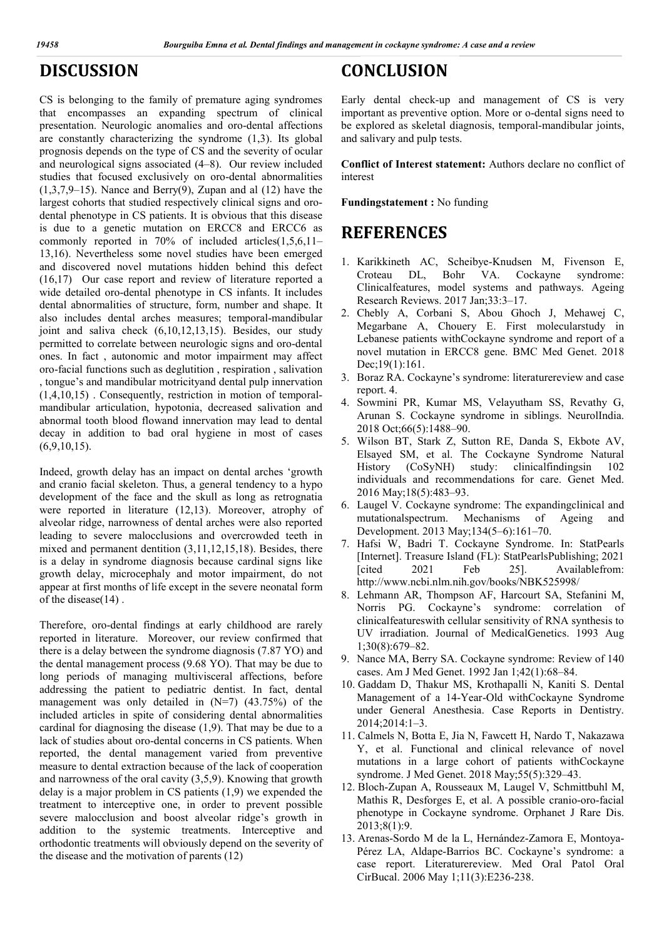## **DISCUSSION**

CS is belonging to the family of premature aging syndromes that encompasses an expanding spectrum of clinical presentation. Neurologic anomalies and oro-dental affections are constantly characterizing the syndrome (1,3). Its global prognosis depends on the type of CS and the severity of ocular and neurological signs associated (4–8). Our review included studies that focused exclusively on oro-dental abnormalities  $(1,3,7,9-15)$ . Nance and Berry $(9)$ , Zupan and al  $(12)$  have the largest cohorts that studied respectively clinical signs and orodental phenotype in CS patients. It is obvious that this disease is due to a genetic mutation on ERCC8 and ERCC6 as commonly reported in 70% of included articles(1,5,6,11– 13,16). Nevertheless some novel studies have been emerged and discovered novel mutations hidden behind this defect (16,17) Our case report and review of literature reported a wide detailed oro-dental phenotype in CS infants. It includes dental abnormalities of structure, form, number and shape. It also includes dental arches measures; temporal-mandibular joint and saliva check (6,10,12,13,15). Besides, our study permitted to correlate between neurologic signs and oro-dental ones. In fact , autonomic and motor impairment may affect oro-facial functions such as deglutition , respiration , salivation , tongue's and mandibular motricityand dental pulp innervation (1,4,10,15) . Consequently, restriction in motion of temporalmandibular articulation, hypotonia, decreased salivation and abnormal tooth blood flowand innervation may lead to dental decay in addition to bad oral hygiene in most of cases  $(6,9,10,15)$ .

Indeed, growth delay has an impact on dental arches 'growth and cranio facial skeleton. Thus, a general tendency to a hypo development of the face and the skull as long as retrognatia were reported in literature (12,13). Moreover, atrophy of alveolar ridge, narrowness of dental arches were also reported leading to severe malocclusions and overcrowded teeth in mixed and permanent dentition (3,11,12,15,18). Besides, there is a delay in syndrome diagnosis because cardinal signs like growth delay, microcephaly and motor impairment, do not appear at first months of life except in the severe neonatal form of the disease(14) .

Therefore, oro-dental findings at early childhood are rarely reported in literature. Moreover, our review confirmed that there is a delay between the syndrome diagnosis (7.87 YO) and the dental management process (9.68 YO). That may be due to long periods of managing multivisceral affections, before addressing the patient to pediatric dentist. In fact, dental management was only detailed in (N=7) (43.75%) of the included articles in spite of considering dental abnormalities cardinal for diagnosing the disease (1,9). That may be due to a lack of studies about oro-dental concerns in CS patients. When reported, the dental management varied from preventive measure to dental extraction because of the lack of cooperation and narrowness of the oral cavity (3,5,9). Knowing that growth delay is a major problem in CS patients (1,9) we expended the treatment to interceptive one, in order to prevent possible severe malocclusion and boost alveolar ridge's growth in addition to the systemic treatments. Interceptive and orthodontic treatments will obviously depend on the severity of the disease and the motivation of parents (12)

## **CONCLUSION**

Early dental check-up and management of CS is very important as preventive option. More or o-dental signs need to be explored as skeletal diagnosis, temporal-mandibular joints, and salivary and pulp tests.

**Conflict of Interest statement:** Authors declare no conflict of interest

**Fundingstatement :** No funding

## **REFERENCES**

- 1. Karikkineth AC, Scheibye-Knudsen M, Fivenson E, Croteau DL, Bohr VA. Cockayne syndrome: Clinicalfeatures, model systems and pathways. Ageing Research Reviews. 2017 Jan;33:3–17.
- 2. Chebly A, Corbani S, Abou Ghoch J, Mehawej C, Megarbane A, Chouery E. First molecularstudy in Lebanese patients withCockayne syndrome and report of a novel mutation in ERCC8 gene. BMC Med Genet. 2018 Dec;19(1):161.
- 3. Boraz RA. Cockayne's syndrome: literaturereview and case report. 4.
- 4. Sowmini PR, Kumar MS, Velayutham SS, Revathy G, Arunan S. Cockayne syndrome in siblings. NeurolIndia. 2018 Oct;66(5):1488–90.
- 5. Wilson BT, Stark Z, Sutton RE, Danda S, Ekbote AV, Elsayed SM, et al. The Cockayne Syndrome Natural History (CoSyNH) study: clinicalfindingsin 102 individuals and recommendations for care. Genet Med. 2016 May;18(5):483–93.
- 6. Laugel V. Cockayne syndrome: The expandingclinical and mutationalspectrum. Mechanisms of Ageing and Development. 2013 May;134(5–6):161–70.
- 7. Hafsi W, Badri T. Cockayne Syndrome. In: StatPearls [Internet]. Treasure Island (FL): StatPearlsPublishing; 2021 [cited 2021 Feb 25]. Availablefrom: http://www.ncbi.nlm.nih.gov/books/NBK525998/
- 8. Lehmann AR, Thompson AF, Harcourt SA, Stefanini M, Norris PG. Cockayne's syndrome: correlation of clinicalfeatureswith cellular sensitivity of RNA synthesis to UV irradiation. Journal of MedicalGenetics. 1993 Aug 1;30(8):679–82.
- 9. Nance MA, Berry SA. Cockayne syndrome: Review of 140 cases. Am J Med Genet. 1992 Jan 1;42(1):68–84.
- 10. Gaddam D, Thakur MS, Krothapalli N, Kaniti S. Dental Management of a 14-Year-Old withCockayne Syndrome under General Anesthesia. Case Reports in Dentistry. 2014;2014:1–3.
- 11. Calmels N, Botta E, Jia N, Fawcett H, Nardo T, Nakazawa Y, et al. Functional and clinical relevance of novel mutations in a large cohort of patients withCockayne syndrome. J Med Genet. 2018 May;55(5):329–43.
- 12. Bloch-Zupan A, Rousseaux M, Laugel V, Schmittbuhl M, Mathis R, Desforges E, et al. A possible cranio-oro-facial phenotype in Cockayne syndrome. Orphanet J Rare Dis. 2013;8(1):9.
- 13. Arenas-Sordo M de la L, Hernández-Zamora E, Montoya-Pérez LA, Aldape-Barrios BC. Cockayne's syndrome: a case report. Literaturereview. Med Oral Patol Oral CirBucal. 2006 May 1;11(3):E236-238.